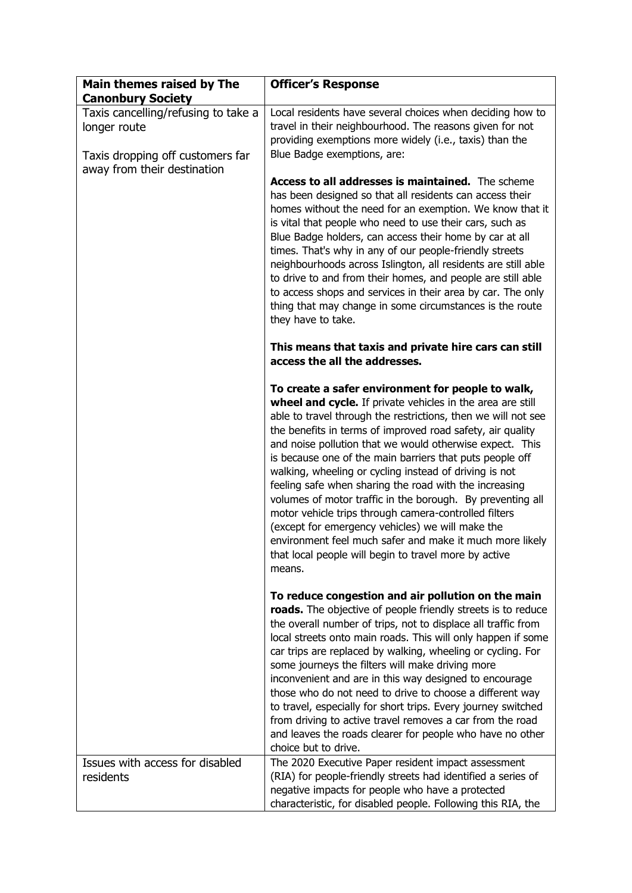| Main themes raised by The                                                               | <b>Officer's Response</b>                                                                                                                                                                                                                                                                                                                                                                                                                                                                                                                                                                                                                                                                                                                                                                            |
|-----------------------------------------------------------------------------------------|------------------------------------------------------------------------------------------------------------------------------------------------------------------------------------------------------------------------------------------------------------------------------------------------------------------------------------------------------------------------------------------------------------------------------------------------------------------------------------------------------------------------------------------------------------------------------------------------------------------------------------------------------------------------------------------------------------------------------------------------------------------------------------------------------|
| <b>Canonbury Society</b>                                                                |                                                                                                                                                                                                                                                                                                                                                                                                                                                                                                                                                                                                                                                                                                                                                                                                      |
| Taxis cancelling/refusing to take a<br>longer route<br>Taxis dropping off customers far | Local residents have several choices when deciding how to<br>travel in their neighbourhood. The reasons given for not<br>providing exemptions more widely (i.e., taxis) than the<br>Blue Badge exemptions, are:                                                                                                                                                                                                                                                                                                                                                                                                                                                                                                                                                                                      |
| away from their destination                                                             | Access to all addresses is maintained. The scheme<br>has been designed so that all residents can access their<br>homes without the need for an exemption. We know that it<br>is vital that people who need to use their cars, such as<br>Blue Badge holders, can access their home by car at all<br>times. That's why in any of our people-friendly streets<br>neighbourhoods across Islington, all residents are still able<br>to drive to and from their homes, and people are still able<br>to access shops and services in their area by car. The only<br>thing that may change in some circumstances is the route<br>they have to take.                                                                                                                                                         |
|                                                                                         | This means that taxis and private hire cars can still<br>access the all the addresses.                                                                                                                                                                                                                                                                                                                                                                                                                                                                                                                                                                                                                                                                                                               |
|                                                                                         | To create a safer environment for people to walk,<br>wheel and cycle. If private vehicles in the area are still<br>able to travel through the restrictions, then we will not see<br>the benefits in terms of improved road safety, air quality<br>and noise pollution that we would otherwise expect. This<br>is because one of the main barriers that puts people off<br>walking, wheeling or cycling instead of driving is not<br>feeling safe when sharing the road with the increasing<br>volumes of motor traffic in the borough. By preventing all<br>motor vehicle trips through camera-controlled filters<br>(except for emergency vehicles) we will make the<br>environment feel much safer and make it much more likely<br>that local people will begin to travel more by active<br>means. |
|                                                                                         | To reduce congestion and air pollution on the main<br>roads. The objective of people friendly streets is to reduce<br>the overall number of trips, not to displace all traffic from<br>local streets onto main roads. This will only happen if some<br>car trips are replaced by walking, wheeling or cycling. For<br>some journeys the filters will make driving more<br>inconvenient and are in this way designed to encourage<br>those who do not need to drive to choose a different way<br>to travel, especially for short trips. Every journey switched<br>from driving to active travel removes a car from the road<br>and leaves the roads clearer for people who have no other<br>choice but to drive.                                                                                      |
| Issues with access for disabled<br>residents                                            | The 2020 Executive Paper resident impact assessment<br>(RIA) for people-friendly streets had identified a series of<br>negative impacts for people who have a protected<br>characteristic, for disabled people. Following this RIA, the                                                                                                                                                                                                                                                                                                                                                                                                                                                                                                                                                              |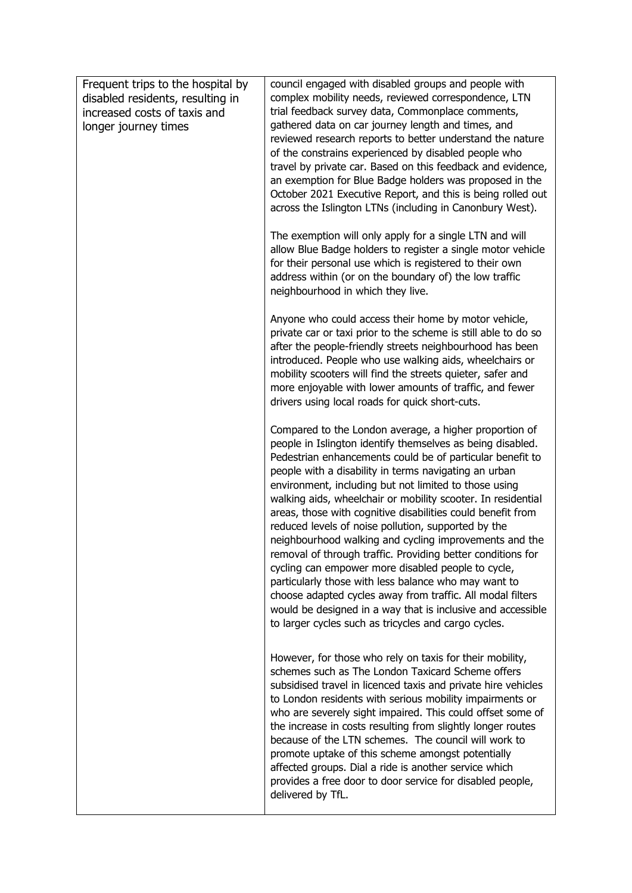| Frequent trips to the hospital by<br>disabled residents, resulting in<br>increased costs of taxis and<br>longer journey times | council engaged with disabled groups and people with<br>complex mobility needs, reviewed correspondence, LTN<br>trial feedback survey data, Commonplace comments,<br>gathered data on car journey length and times, and<br>reviewed research reports to better understand the nature<br>of the constrains experienced by disabled people who<br>travel by private car. Based on this feedback and evidence,<br>an exemption for Blue Badge holders was proposed in the<br>October 2021 Executive Report, and this is being rolled out<br>across the Islington LTNs (including in Canonbury West).                                                                                                                                                                                                                                                                                                                     |
|-------------------------------------------------------------------------------------------------------------------------------|-----------------------------------------------------------------------------------------------------------------------------------------------------------------------------------------------------------------------------------------------------------------------------------------------------------------------------------------------------------------------------------------------------------------------------------------------------------------------------------------------------------------------------------------------------------------------------------------------------------------------------------------------------------------------------------------------------------------------------------------------------------------------------------------------------------------------------------------------------------------------------------------------------------------------|
|                                                                                                                               | The exemption will only apply for a single LTN and will<br>allow Blue Badge holders to register a single motor vehicle<br>for their personal use which is registered to their own<br>address within (or on the boundary of) the low traffic<br>neighbourhood in which they live.                                                                                                                                                                                                                                                                                                                                                                                                                                                                                                                                                                                                                                      |
|                                                                                                                               | Anyone who could access their home by motor vehicle,<br>private car or taxi prior to the scheme is still able to do so<br>after the people-friendly streets neighbourhood has been<br>introduced. People who use walking aids, wheelchairs or<br>mobility scooters will find the streets quieter, safer and<br>more enjoyable with lower amounts of traffic, and fewer<br>drivers using local roads for quick short-cuts.                                                                                                                                                                                                                                                                                                                                                                                                                                                                                             |
|                                                                                                                               | Compared to the London average, a higher proportion of<br>people in Islington identify themselves as being disabled.<br>Pedestrian enhancements could be of particular benefit to<br>people with a disability in terms navigating an urban<br>environment, including but not limited to those using<br>walking aids, wheelchair or mobility scooter. In residential<br>areas, those with cognitive disabilities could benefit from<br>reduced levels of noise pollution, supported by the<br>neighbourhood walking and cycling improvements and the<br>removal of through traffic. Providing better conditions for<br>cycling can empower more disabled people to cycle,<br>particularly those with less balance who may want to<br>choose adapted cycles away from traffic. All modal filters<br>would be designed in a way that is inclusive and accessible<br>to larger cycles such as tricycles and cargo cycles. |
|                                                                                                                               | However, for those who rely on taxis for their mobility,<br>schemes such as The London Taxicard Scheme offers<br>subsidised travel in licenced taxis and private hire vehicles<br>to London residents with serious mobility impairments or<br>who are severely sight impaired. This could offset some of<br>the increase in costs resulting from slightly longer routes<br>because of the LTN schemes. The council will work to<br>promote uptake of this scheme amongst potentially<br>affected groups. Dial a ride is another service which<br>provides a free door to door service for disabled people,<br>delivered by TfL.                                                                                                                                                                                                                                                                                       |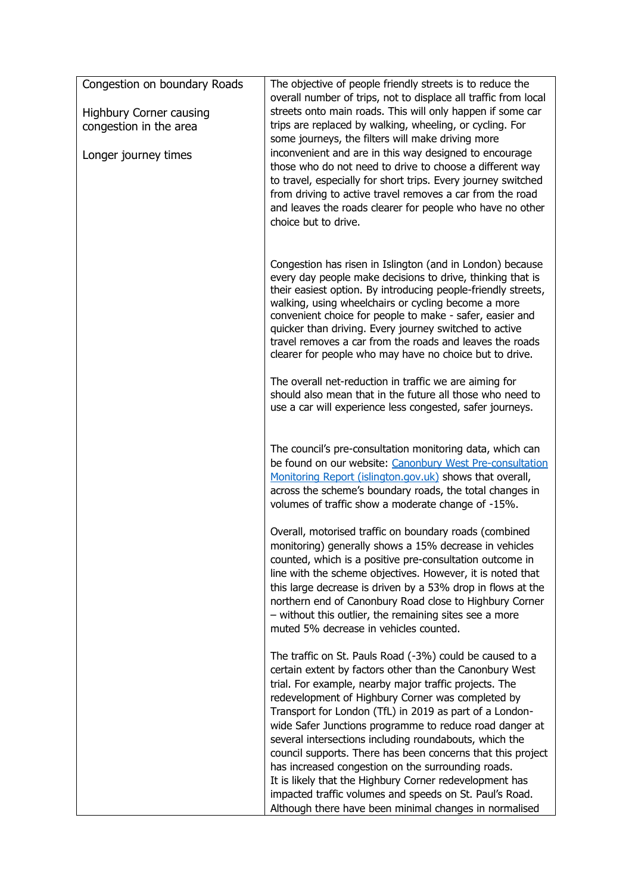| Congestion on boundary Roads<br><b>Highbury Corner causing</b><br>congestion in the area<br>Longer journey times | The objective of people friendly streets is to reduce the<br>overall number of trips, not to displace all traffic from local<br>streets onto main roads. This will only happen if some car<br>trips are replaced by walking, wheeling, or cycling. For<br>some journeys, the filters will make driving more<br>inconvenient and are in this way designed to encourage<br>those who do not need to drive to choose a different way<br>to travel, especially for short trips. Every journey switched<br>from driving to active travel removes a car from the road<br>and leaves the roads clearer for people who have no other<br>choice but to drive. |
|------------------------------------------------------------------------------------------------------------------|------------------------------------------------------------------------------------------------------------------------------------------------------------------------------------------------------------------------------------------------------------------------------------------------------------------------------------------------------------------------------------------------------------------------------------------------------------------------------------------------------------------------------------------------------------------------------------------------------------------------------------------------------|
|                                                                                                                  | Congestion has risen in Islington (and in London) because<br>every day people make decisions to drive, thinking that is<br>their easiest option. By introducing people-friendly streets,<br>walking, using wheelchairs or cycling become a more<br>convenient choice for people to make - safer, easier and<br>quicker than driving. Every journey switched to active<br>travel removes a car from the roads and leaves the roads<br>clearer for people who may have no choice but to drive.                                                                                                                                                         |
|                                                                                                                  | The overall net-reduction in traffic we are aiming for<br>should also mean that in the future all those who need to<br>use a car will experience less congested, safer journeys.                                                                                                                                                                                                                                                                                                                                                                                                                                                                     |
|                                                                                                                  | The council's pre-consultation monitoring data, which can<br>be found on our website: Canonbury West Pre-consultation<br>Monitoring Report (islington.gov.uk) shows that overall,<br>across the scheme's boundary roads, the total changes in<br>volumes of traffic show a moderate change of -15%.                                                                                                                                                                                                                                                                                                                                                  |
|                                                                                                                  | Overall, motorised traffic on boundary roads (combined<br>monitoring) generally shows a 15% decrease in vehicles<br>counted, which is a positive pre-consultation outcome in<br>line with the scheme objectives. However, it is noted that<br>this large decrease is driven by a 53% drop in flows at the<br>northern end of Canonbury Road close to Highbury Corner<br>$-$ without this outlier, the remaining sites see a more<br>muted 5% decrease in vehicles counted.                                                                                                                                                                           |
|                                                                                                                  | The traffic on St. Pauls Road (-3%) could be caused to a<br>certain extent by factors other than the Canonbury West<br>trial. For example, nearby major traffic projects. The<br>redevelopment of Highbury Corner was completed by<br>Transport for London (TfL) in 2019 as part of a London-<br>wide Safer Junctions programme to reduce road danger at                                                                                                                                                                                                                                                                                             |
|                                                                                                                  | several intersections including roundabouts, which the<br>council supports. There has been concerns that this project<br>has increased congestion on the surrounding roads.<br>It is likely that the Highbury Corner redevelopment has<br>impacted traffic volumes and speeds on St. Paul's Road.<br>Although there have been minimal changes in normalised                                                                                                                                                                                                                                                                                          |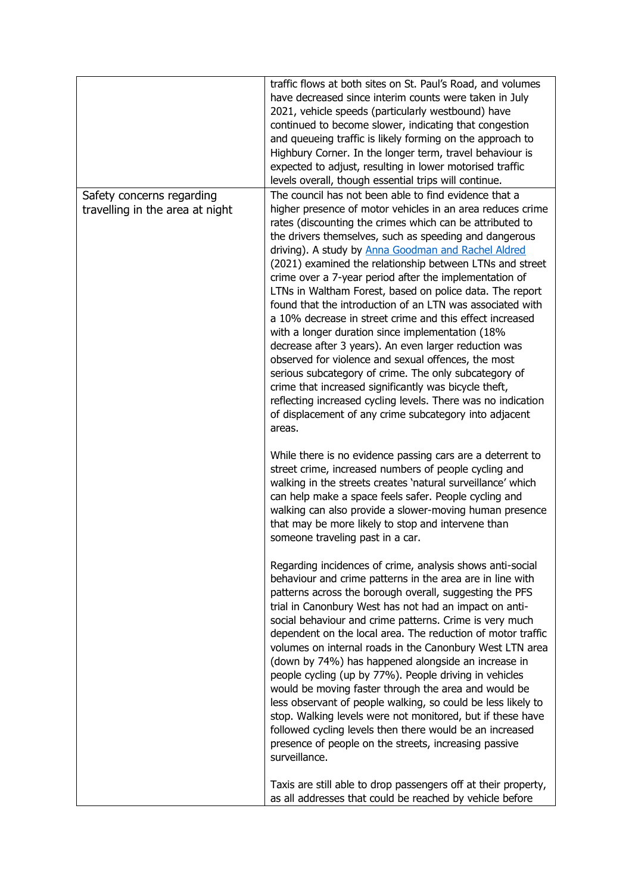|                                 | traffic flows at both sites on St. Paul's Road, and volumes<br>have decreased since interim counts were taken in July<br>2021, vehicle speeds (particularly westbound) have<br>continued to become slower, indicating that congestion<br>and queueing traffic is likely forming on the approach to<br>Highbury Corner. In the longer term, travel behaviour is<br>expected to adjust, resulting in lower motorised traffic<br>levels overall, though essential trips will continue.                                                                                                                                                                                                                                                                                                                                                                                                                                                                                          |
|---------------------------------|------------------------------------------------------------------------------------------------------------------------------------------------------------------------------------------------------------------------------------------------------------------------------------------------------------------------------------------------------------------------------------------------------------------------------------------------------------------------------------------------------------------------------------------------------------------------------------------------------------------------------------------------------------------------------------------------------------------------------------------------------------------------------------------------------------------------------------------------------------------------------------------------------------------------------------------------------------------------------|
| Safety concerns regarding       | The council has not been able to find evidence that a                                                                                                                                                                                                                                                                                                                                                                                                                                                                                                                                                                                                                                                                                                                                                                                                                                                                                                                        |
| travelling in the area at night | higher presence of motor vehicles in an area reduces crime<br>rates (discounting the crimes which can be attributed to<br>the drivers themselves, such as speeding and dangerous<br>driving). A study by Anna Goodman and Rachel Aldred<br>(2021) examined the relationship between LTNs and street<br>crime over a 7-year period after the implementation of<br>LTNs in Waltham Forest, based on police data. The report<br>found that the introduction of an LTN was associated with<br>a 10% decrease in street crime and this effect increased<br>with a longer duration since implementation (18%<br>decrease after 3 years). An even larger reduction was<br>observed for violence and sexual offences, the most<br>serious subcategory of crime. The only subcategory of<br>crime that increased significantly was bicycle theft,<br>reflecting increased cycling levels. There was no indication<br>of displacement of any crime subcategory into adjacent<br>areas. |
|                                 | While there is no evidence passing cars are a deterrent to<br>street crime, increased numbers of people cycling and<br>walking in the streets creates 'natural surveillance' which<br>can help make a space feels safer. People cycling and<br>walking can also provide a slower-moving human presence<br>that may be more likely to stop and intervene than<br>someone traveling past in a car.                                                                                                                                                                                                                                                                                                                                                                                                                                                                                                                                                                             |
|                                 | Regarding incidences of crime, analysis shows anti-social<br>behaviour and crime patterns in the area are in line with<br>patterns across the borough overall, suggesting the PFS<br>trial in Canonbury West has not had an impact on anti-<br>social behaviour and crime patterns. Crime is very much<br>dependent on the local area. The reduction of motor traffic<br>volumes on internal roads in the Canonbury West LTN area<br>(down by 74%) has happened alongside an increase in<br>people cycling (up by 77%). People driving in vehicles<br>would be moving faster through the area and would be<br>less observant of people walking, so could be less likely to<br>stop. Walking levels were not monitored, but if these have<br>followed cycling levels then there would be an increased<br>presence of people on the streets, increasing passive<br>surveillance.                                                                                               |
|                                 | Taxis are still able to drop passengers off at their property,<br>as all addresses that could be reached by vehicle before                                                                                                                                                                                                                                                                                                                                                                                                                                                                                                                                                                                                                                                                                                                                                                                                                                                   |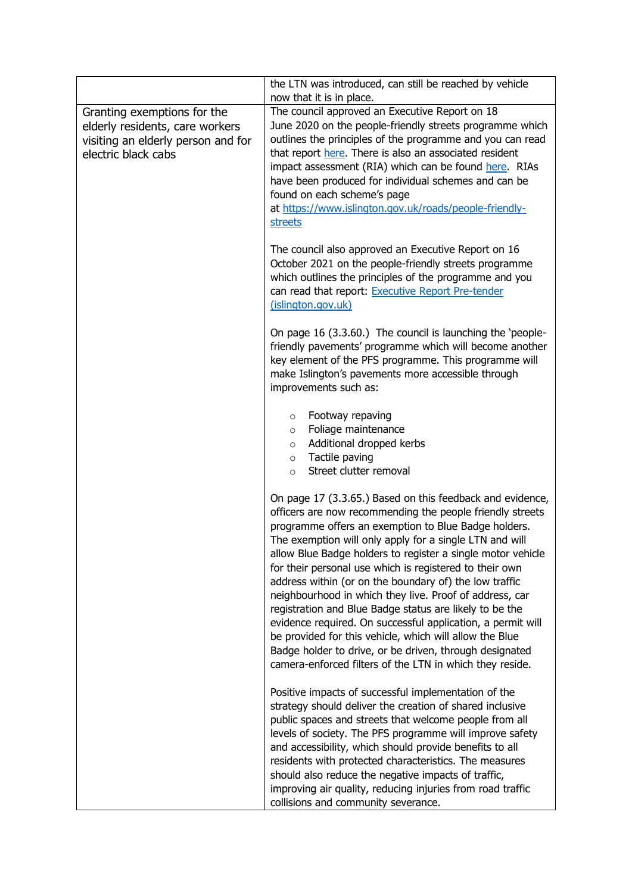|                                                                                                                             | the LTN was introduced, can still be reached by vehicle<br>now that it is in place.                                                                                                                                                                                                                                                                                                                                                                                                                                                                                                                                                                                                                                                                                                                  |
|-----------------------------------------------------------------------------------------------------------------------------|------------------------------------------------------------------------------------------------------------------------------------------------------------------------------------------------------------------------------------------------------------------------------------------------------------------------------------------------------------------------------------------------------------------------------------------------------------------------------------------------------------------------------------------------------------------------------------------------------------------------------------------------------------------------------------------------------------------------------------------------------------------------------------------------------|
| Granting exemptions for the<br>elderly residents, care workers<br>visiting an elderly person and for<br>electric black cabs | The council approved an Executive Report on 18<br>June 2020 on the people-friendly streets programme which<br>outlines the principles of the programme and you can read<br>that report here. There is also an associated resident<br>impact assessment (RIA) which can be found here. RIAs<br>have been produced for individual schemes and can be<br>found on each scheme's page<br>at https://www.islington.gov.uk/roads/people-friendly-<br>streets                                                                                                                                                                                                                                                                                                                                               |
|                                                                                                                             | The council also approved an Executive Report on 16<br>October 2021 on the people-friendly streets programme<br>which outlines the principles of the programme and you<br>can read that report: Executive Report Pre-tender<br>(islington.gov.uk)                                                                                                                                                                                                                                                                                                                                                                                                                                                                                                                                                    |
|                                                                                                                             | On page 16 (3.3.60.) The council is launching the 'people-<br>friendly pavements' programme which will become another<br>key element of the PFS programme. This programme will<br>make Islington's pavements more accessible through<br>improvements such as:                                                                                                                                                                                                                                                                                                                                                                                                                                                                                                                                        |
|                                                                                                                             | Footway repaving<br>$\circ$<br>Foliage maintenance<br>$\circ$<br>Additional dropped kerbs<br>$\circ$<br>Tactile paving<br>$\circ$<br>Street clutter removal<br>$\circ$                                                                                                                                                                                                                                                                                                                                                                                                                                                                                                                                                                                                                               |
|                                                                                                                             | On page 17 (3.3.65.) Based on this feedback and evidence,<br>officers are now recommending the people friendly streets<br>programme offers an exemption to Blue Badge holders.<br>The exemption will only apply for a single LTN and will<br>allow Blue Badge holders to register a single motor vehicle<br>for their personal use which is registered to their own<br>address within (or on the boundary of) the low traffic<br>neighbourhood in which they live. Proof of address, car<br>registration and Blue Badge status are likely to be the<br>evidence required. On successful application, a permit will<br>be provided for this vehicle, which will allow the Blue<br>Badge holder to drive, or be driven, through designated<br>camera-enforced filters of the LTN in which they reside. |
|                                                                                                                             | Positive impacts of successful implementation of the<br>strategy should deliver the creation of shared inclusive<br>public spaces and streets that welcome people from all<br>levels of society. The PFS programme will improve safety<br>and accessibility, which should provide benefits to all<br>residents with protected characteristics. The measures<br>should also reduce the negative impacts of traffic,<br>improving air quality, reducing injuries from road traffic<br>collisions and community severance.                                                                                                                                                                                                                                                                              |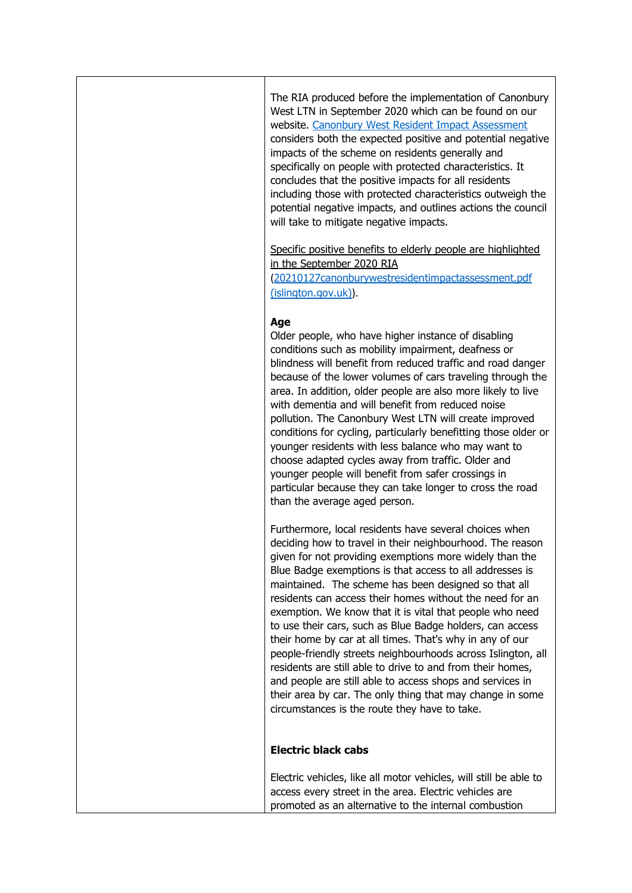The RIA produced before the implementation of Canonbury West LTN in September 2020 which can be found on our website. [Canonbury West Resident Impact Assessment](https://www.islington.gov.uk/~/media/sharepoint-lists/public-records/transportandinfrastructure/information/adviceandinformation/20202021/20210127canonburywestresidentimpactassessment.pdf) considers both the expected positive and potential negative impacts of the scheme on residents generally and specifically on people with protected characteristics. It concludes that the positive impacts for all residents including those with protected characteristics outweigh the potential negative impacts, and outlines actions the council will take to mitigate negative impacts.

Specific positive benefits to elderly people are highlighted in the September 2020 RIA

([20210127canonburywestresidentimpactassessment.pdf](https://www.islington.gov.uk/~/media/sharepoint-lists/public-records/transportandinfrastructure/information/adviceandinformation/20202021/20210127canonburywestresidentimpactassessment.pdf)  [\(islington.gov.uk\)](https://www.islington.gov.uk/~/media/sharepoint-lists/public-records/transportandinfrastructure/information/adviceandinformation/20202021/20210127canonburywestresidentimpactassessment.pdf)).

## **Age**

Older people, who have higher instance of disabling conditions such as mobility impairment, deafness or blindness will benefit from reduced traffic and road danger because of the lower volumes of cars traveling through the area. In addition, older people are also more likely to live with dementia and will benefit from reduced noise pollution. The Canonbury West LTN will create improved conditions for cycling, particularly benefitting those older or younger residents with less balance who may want to choose adapted cycles away from traffic. Older and younger people will benefit from safer crossings in particular because they can take longer to cross the road than the average aged person.

Furthermore, local residents have several choices when deciding how to travel in their neighbourhood. The reason given for not providing exemptions more widely than the Blue Badge exemptions is that access to all addresses is maintained. The scheme has been designed so that all residents can access their homes without the need for an exemption. We know that it is vital that people who need to use their cars, such as Blue Badge holders, can access their home by car at all times. That's why in any of our people-friendly streets neighbourhoods across Islington, all residents are still able to drive to and from their homes, and people are still able to access shops and services in their area by car. The only thing that may change in some circumstances is the route they have to take.

## **Electric black cabs**

Electric vehicles, like all motor vehicles, will still be able to access every street in the area. Electric vehicles are promoted as an alternative to the internal combustion